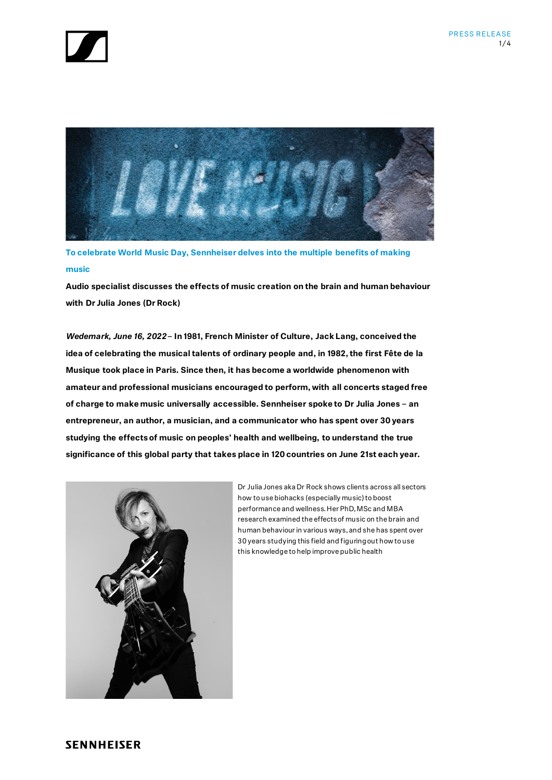



**To celebrate World Music Day, Sennheiser delves into the multiple benefits of making music** 

**Audio specialist discusses the effects of music creation on the brain and human behaviour with Dr Julia Jones (Dr Rock)**

*Wedemark, June 16, 2022* **– In 1981, French Minister of Culture, Jack Lang, conceived the idea of celebrating the musical talents of ordinary people and, in 1982, the first Fête de la Musique took place in Paris. Since then, it has become a worldwide phenomenon with amateur and professional musicians encouraged to perform, with all concerts staged free of charge to make music universally accessible. Sennheiser spoke to Dr Julia Jones – an entrepreneur, an author, a musician, and a communicator who has spent over 30 years studying the effects of music on peoples' health and wellbeing, to understand the true significance of this global party that takes place in 120 countries on June 21st each year.**



Dr Julia Jones aka Dr Rock shows clients across all sectors how to use biohacks (especially music) to boost performance and wellness. Her PhD, MSc and MBA research examined the effects of music on the brain and human behaviour in various ways, and she has spent over 30 years studying this field and figuring out how to use this knowledge to help improve public health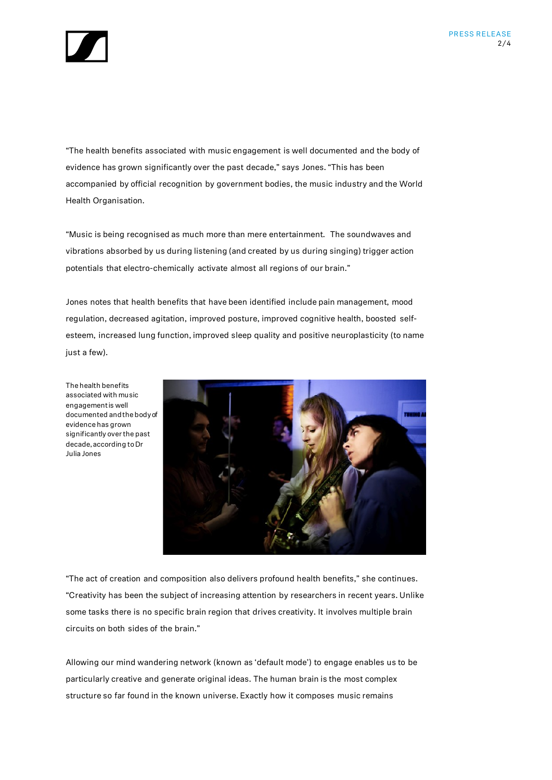

"The health benefits associated with music engagement is well documented and the body of evidence has grown significantly over the past decade," says Jones. "This has been accompanied by official recognition by government bodies, the music industry and the World Health Organisation.

"Music is being recognised as much more than mere entertainment. The soundwaves and vibrations absorbed by us during listening (and created by us during singing) trigger action potentials that electro-chemically activate almost all regions of our brain."

Jones notes that health benefits that have been identified include pain management, mood regulation, decreased agitation, improved posture, improved cognitive health, boosted selfesteem, increased lung function, improved sleep quality and positive neuroplasticity (to name just a few).

The health benefits associated with music engagement is well documented and the body of evidence has grown significantly over the past decade, according to Dr Julia Jones



"The act of creation and composition also delivers profound health benefits," she continues. "Creativity has been the subject of increasing attention by researchers in recent years. Unlike some tasks there is no specific brain region that drives creativity. It involves multiple brain circuits on both sides of the brain."

Allowing our mind wandering network (known as 'default mode') to engage enables us to be particularly creative and generate original ideas. The human brain is the most complex structure so far found in the known universe. Exactly how it composes music remains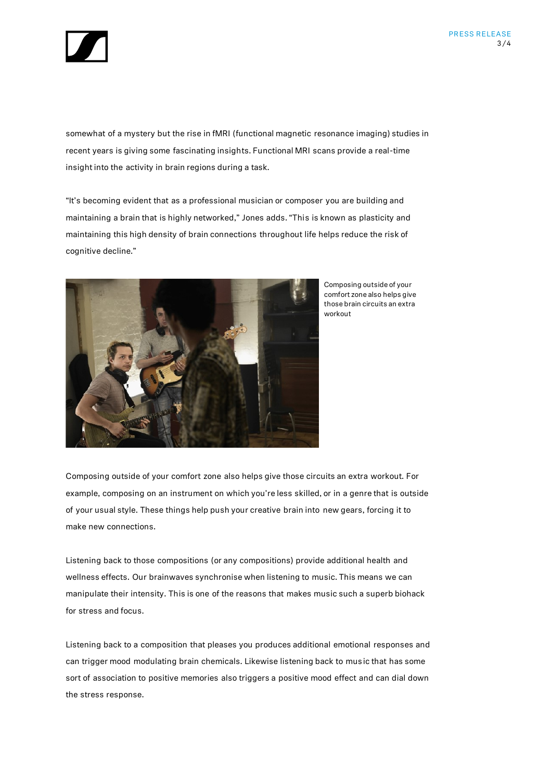

somewhat of a mystery but the rise in fMRI (functional magnetic resonance imaging) studies in recent years is giving some fascinating insights. Functional MRI scans provide a real-time insight into the activity in brain regions during a task.

"It's becoming evident that as a professional musician or composer you are building and maintaining a brain that is highly networked," Jones adds. "This is known as plasticity and maintaining this high density of brain connections throughout life helps reduce the risk of cognitive decline."



Composing outside of your comfort zone also helps give those brain circuits an extra workout

Composing outside of your comfort zone also helps give those circuits an extra workout. For example, composing on an instrument on which you're less skilled, or in a genre that is outside of your usual style. These things help push your creative brain into new gears, forcing it to make new connections.

Listening back to those compositions (or any compositions) provide additional health and wellness effects. Our brainwaves synchronise when listening to music. This means we can manipulate their intensity. This is one of the reasons that makes music such a superb biohack for stress and focus.

Listening back to a composition that pleases you produces additional emotional responses and can trigger mood modulating brain chemicals. Likewise listening back to music that has some sort of association to positive memories also triggers a positive mood effect and can dial down the stress response.